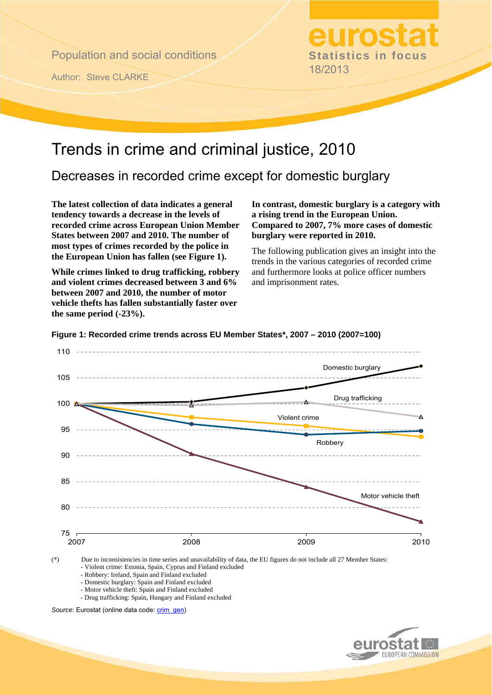Population and social conditions

Author: Steve CLARKE

**Statistics in focus**  18/2013

# Trends in crime and criminal justice, 2010

Decreases in recorded crime except for domestic burglary

**The latest collection of data indicates a general tendency towards a decrease in the levels of recorded crime across European Union Member States between 2007 and 2010. The number of most types of crimes recorded by the police in the European Union has fallen (see Figure 1).** 

**While crimes linked to drug trafficking, robbery and violent crimes decreased between 3 and 6% between 2007 and 2010, the number of motor vehicle thefts has fallen substantially faster over the same period (-23%).** 

**In contrast, domestic burglary is a category with a rising trend in the European Union. Compared to 2007, 7% more cases of domestic burglary were reported in 2010.** 

The following publication gives an insight into the trends in the various categories of recorded crime and furthermore looks at police officer numbers and imprisonment rates.



**Figure 1: Recorded crime trends across EU Member States\*, 2007 – 2010 (2007=100)** 

(\*) Due to inconsistencies in time series and unavailability of data, the EU figures do not include all 27 Member States: - Violent crime: Estonia, Spain, Cyprus and Finland excluded

- Robbery: Ireland, Spain and Finland excluded

- Domestic burglary: Spain and Finland excluded

- Motor vehicle theft: Spain and Finland excluded

- Drug trafficking: Spain, Hungary and Finland excluded

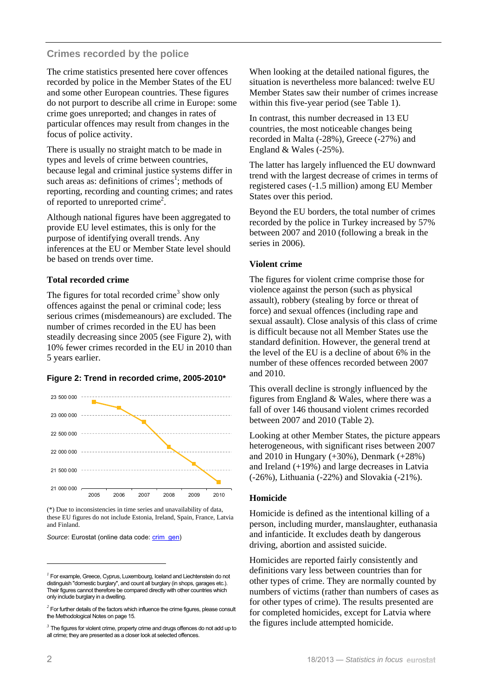#### **Crimes recorded by the police**

The crime statistics presented here cover offences recorded by police in the Member States of the EU and some other European countries. These figures do not purport to describe all crime in Europe: some crime goes unreported; and changes in rates of particular offences may result from changes in the focus of police activity.

There is usually no straight match to be made in types and levels of crime between countries, because legal and criminal justice systems differ in such areas as: definitions of crimes<sup>1</sup>; methods of reporting, recording and counting crimes; and rates of reported to unreported crime<sup>2</sup>.

Although national figures have been aggregated to provide EU level estimates, this is only for the purpose of identifying overall trends. Any inferences at the EU or Member State level should be based on trends over time.

#### **Total recorded crime**

The figures for total recorded crime<sup>3</sup> show only offences against the penal or criminal code; less serious crimes (misdemeanours) are excluded. The number of crimes recorded in the EU has been steadily decreasing since 2005 (see Figure 2), with 10% fewer crimes recorded in the EU in 2010 than 5 years earlier.

#### **Figure 2: Trend in recorded crime, 2005-2010\***



(\*) Due to inconsistencies in time series and unavailability of data, these EU figures do not include Estonia, Ireland, Spain, France, Latvia and Finland.

Source: Eurostat (online data code: crim\_gen)

When looking at the detailed national figures, the situation is nevertheless more balanced: twelve EU Member States saw their number of crimes increase within this five-year period (see Table 1).

In contrast, this number decreased in 13 EU countries, the most noticeable changes being recorded in Malta (-28%), Greece (-27%) and England & Wales (-25%).

The latter has largely influenced the EU downward trend with the largest decrease of crimes in terms of registered cases (-1.5 million) among EU Member States over this period.

Beyond the EU borders, the total number of crimes recorded by the police in Turkey increased by 57% between 2007 and 2010 (following a break in the series in 2006).

#### **Violent crime**

The figures for violent crime comprise those for violence against the person (such as physical assault), robbery (stealing by force or threat of force) and sexual offences (including rape and sexual assault). Close analysis of this class of crime is difficult because not all Member States use the standard definition. However, the general trend at the level of the EU is a decline of about 6% in the number of these offences recorded between 2007 and 2010.

This overall decline is strongly influenced by the figures from England & Wales, where there was a fall of over 146 thousand violent crimes recorded between 2007 and 2010 (Table 2).

Looking at other Member States, the picture appears heterogeneous, with significant rises between 2007 and 2010 in Hungary  $(+30\%)$ , Denmark  $(+28\%)$ and Ireland (+19%) and large decreases in Latvia (-26%), Lithuania (-22%) and Slovakia (-21%).

#### **Homicide**

Homicide is defined as the intentional killing of a person, including murder, manslaughter, euthanasia and infanticide. It excludes death by dangerous driving, abortion and assisted suicide.

Homicides are reported fairly consistently and definitions vary less between countries than for other types of crime. They are normally counted by numbers of victims (rather than numbers of cases as for other types of crime). The results presented are for completed homicides, except for Latvia where the figures include attempted homicide.

l

*<sup>1</sup>* For example, Greece, Cyprus, Luxembourg, Iceland and Liechtenstein do not distinguish "domestic burglary", and count all burglary (in shops, garages etc.). Their figures cannot therefore be compared directly with other countries which only include burglary in a dwelling.

*<sup>2</sup>* For further details of the factors which influence the crime figures, please consult the Methodological Notes on page 15.

*<sup>3</sup>* The figures for violent crime, property crime and drugs offences do not add up to all crime; they are presented as a closer look at selected offences.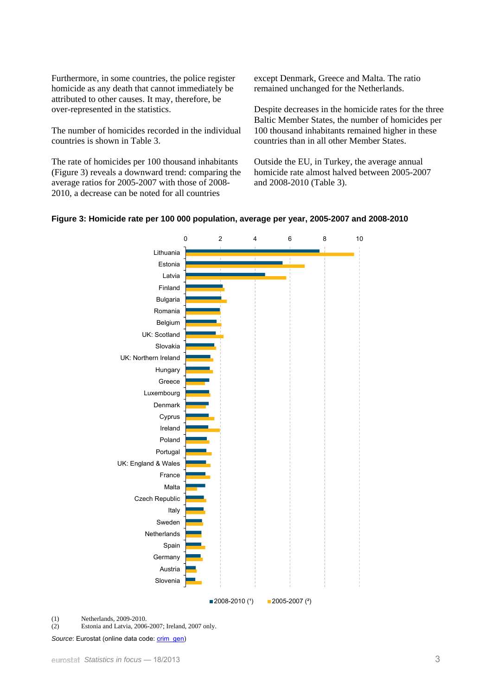Furthermore, in some countries, the police register homicide as any death that cannot immediately be attributed to other causes. It may, therefore, be over-represented in the statistics.

The number of homicides recorded in the individual countries is shown in Table 3.

The rate of homicides per 100 thousand inhabitants (Figure 3) reveals a downward trend: comparing the average ratios for 2005-2007 with those of 2008- 2010, a decrease can be noted for all countries

except Denmark, Greece and Malta. The ratio remained unchanged for the Netherlands.

Despite decreases in the homicide rates for the three Baltic Member States, the number of homicides per 100 thousand inhabitants remained higher in these countries than in all other Member States.

Outside the EU, in Turkey, the average annual homicide rate almost halved between 2005-2007 and 2008-2010 (Table 3).





(1) Netherlands, 2009-2010.

(2) Estonia and Latvia, 2006-2007; Ireland, 2007 only.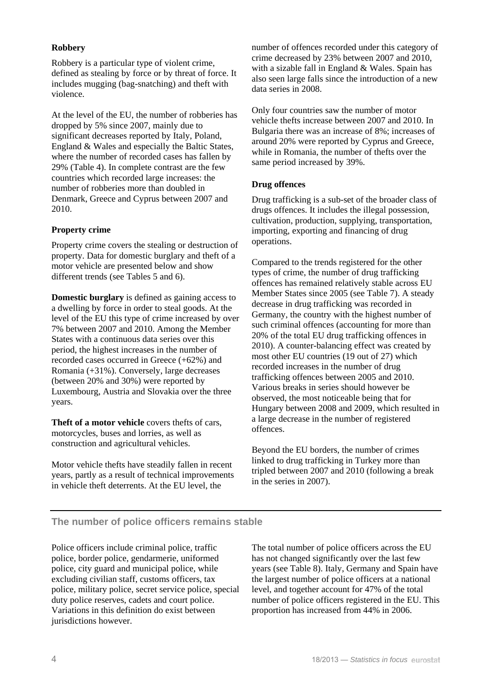## **Robbery**

Robbery is a particular type of violent crime, defined as stealing by force or by threat of force. It includes mugging (bag-snatching) and theft with violence.

At the level of the EU, the number of robberies has dropped by 5% since 2007, mainly due to significant decreases reported by Italy, Poland, England & Wales and especially the Baltic States, where the number of recorded cases has fallen by 29% (Table 4). In complete contrast are the few countries which recorded large increases: the number of robberies more than doubled in Denmark, Greece and Cyprus between 2007 and 2010.

#### **Property crime**

Property crime covers the stealing or destruction of property. Data for domestic burglary and theft of a motor vehicle are presented below and show different trends (see Tables 5 and 6).

**Domestic burglary** is defined as gaining access to a dwelling by force in order to steal goods. At the level of the EU this type of crime increased by over 7% between 2007 and 2010. Among the Member States with a continuous data series over this period, the highest increases in the number of recorded cases occurred in Greece (+62%) and Romania (+31%). Conversely, large decreases (between 20% and 30%) were reported by Luxembourg, Austria and Slovakia over the three years.

**Theft of a motor vehicle** covers thefts of cars, motorcycles, buses and lorries, as well as construction and agricultural vehicles.

Motor vehicle thefts have steadily fallen in recent years, partly as a result of technical improvements in vehicle theft deterrents. At the EU level, the

number of offences recorded under this category of crime decreased by 23% between 2007 and 2010, with a sizable fall in England & Wales. Spain has also seen large falls since the introduction of a new data series in 2008.

Only four countries saw the number of motor vehicle thefts increase between 2007 and 2010. In Bulgaria there was an increase of 8%; increases of around 20% were reported by Cyprus and Greece, while in Romania, the number of thefts over the same period increased by 39%.

#### **Drug offences**

Drug trafficking is a sub-set of the broader class of drugs offences. It includes the illegal possession, cultivation, production, supplying, transportation, importing, exporting and financing of drug operations.

Compared to the trends registered for the other types of crime, the number of drug trafficking offences has remained relatively stable across EU Member States since 2005 (see Table 7). A steady decrease in drug trafficking was recorded in Germany, the country with the highest number of such criminal offences (accounting for more than 20% of the total EU drug trafficking offences in 2010). A counter-balancing effect was created by most other EU countries (19 out of 27) which recorded increases in the number of drug trafficking offences between 2005 and 2010. Various breaks in series should however be observed, the most noticeable being that for Hungary between 2008 and 2009, which resulted in a large decrease in the number of registered offences.

Beyond the EU borders, the number of crimes linked to drug trafficking in Turkey more than tripled between 2007 and 2010 (following a break in the series in 2007).

## **The number of police officers remains stable**

Police officers include criminal police, traffic police, border police, gendarmerie, uniformed police, city guard and municipal police, while excluding civilian staff, customs officers, tax police, military police, secret service police, special duty police reserves, cadets and court police. Variations in this definition do exist between jurisdictions however.

The total number of police officers across the EU has not changed significantly over the last few years (see Table 8). Italy, Germany and Spain have the largest number of police officers at a national level, and together account for 47% of the total number of police officers registered in the EU. This proportion has increased from 44% in 2006.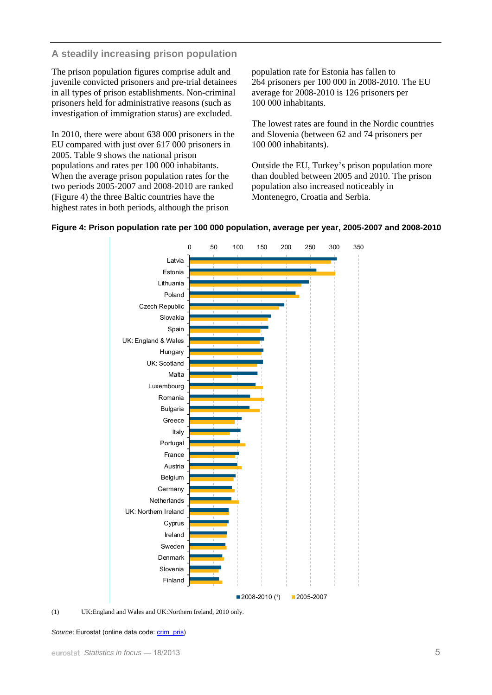## **A steadily increasing prison population**

The prison population figures comprise adult and juvenile convicted prisoners and pre-trial detainees in all types of prison establishments. Non-criminal prisoners held for administrative reasons (such as investigation of immigration status) are excluded.

In 2010, there were about 638 000 prisoners in the EU compared with just over 617 000 prisoners in 2005. Table 9 shows the national prison populations and rates per 100 000 inhabitants. When the average prison population rates for the two periods 2005-2007 and 2008-2010 are ranked (Figure 4) the three Baltic countries have the highest rates in both periods, although the prison

population rate for Estonia has fallen to 264 prisoners per 100 000 in 2008-2010. The EU average for 2008-2010 is 126 prisoners per 100 000 inhabitants.

The lowest rates are found in the Nordic countries and Slovenia (between 62 and 74 prisoners per 100 000 inhabitants).

Outside the EU, Turkey's prison population more than doubled between 2005 and 2010. The prison population also increased noticeably in Montenegro, Croatia and Serbia.



## **Figure 4: Prison population rate per 100 000 population, average per year, 2005-2007 and 2008-2010**

(1) UK:England and Wales and UK:Northern Ireland, 2010 only.

#### Source: Eurostat (online data code: [crim\\_pris\)](http://ec.europa.eu/eurostat/product?mode=view&code=crim_pris)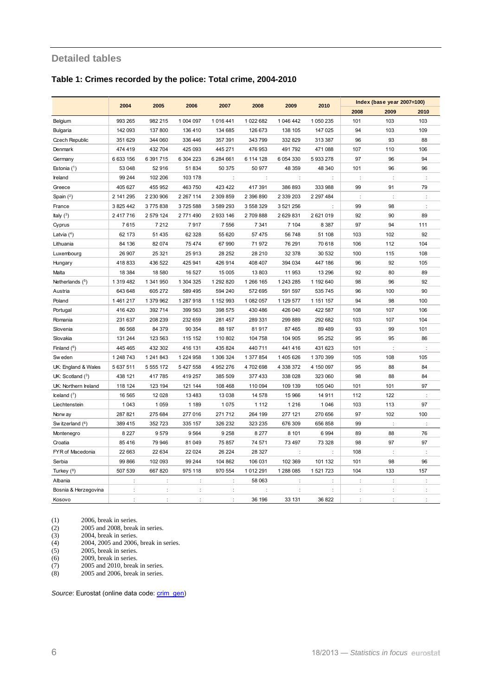### **Detailed tables**

#### **Table 1: Crimes recorded by the police: Total crime, 2004-2010**

|                       |           |               |               |                      |           |                |               |         | Index (base year 2007=100) |      |
|-----------------------|-----------|---------------|---------------|----------------------|-----------|----------------|---------------|---------|----------------------------|------|
|                       | 2004      | 2005          | 2006          | 2007                 | 2008      | 2009           | 2010          | 2008    | 2009                       | 2010 |
| Belgium               | 993 265   | 982 215       | 1 004 097     | 1 0 1 6 4 4 1        | 1 022 682 | 1 046 442      | 1 050 235     | 101     | 103                        | 103  |
| <b>Bulgaria</b>       | 142 093   | 137 800       | 136 410       | 134 685              | 126 673   | 138 105        | 147 025       | 94      | 103                        | 109  |
| <b>Czech Republic</b> | 351 629   | 344 060       | 336 446       | 357 391              | 343 799   | 332 829        | 313 387       | 96      | 93                         | 88   |
| Denmark               | 474 419   | 432 704       | 425 093       | 445 271              | 476 953   | 491792         | 471 088       | 107     | 110                        | 106  |
| Germany               | 6633156   | 6 391 715     | 6 304 223     | 6 284 661            | 6 114 128 | 6 0 54 3 30    | 5933278       | 97      | 96                         | 94   |
| Estonia $(1)$         | 53 048    | 52916         | 51 834        | 50 375               | 50 977    | 48 359         | 48 340        | 101     | 96                         | 96   |
| Ireland               | 99 244    | 102 206       | 103 178       | $\ddot{\phantom{a}}$ |           | ÷              |               |         | $\ddot{\phantom{a}}$       |      |
| Greece                | 405 627   | 455 952       | 463 750       | 423 422              | 417 391   | 386 893        | 333 988       | 99      | 91                         | 79   |
| Spain $(2)$           | 2 141 295 | 2 2 3 0 9 0 6 | 2 2 6 7 1 1 4 | 2 309 859            | 2 396 890 | 2 339 203      | 2 2 9 7 4 8 4 | ÷       | þ                          |      |
| France                | 3 825 442 | 3775838       | 3725588       | 3 589 293            | 3 558 329 | 3 5 21 2 5 6   | ÷             | 99      | 98                         | ÷    |
| Italy $(3)$           | 2 417 716 | 2 579 124     | 2771490       | 2 933 146            | 2709888   | 2 629 831      | 2 621 019     | 92      | 90                         | 89   |
| Cyprus                | 7615      | 7 2 1 2       | 7917          | 7 5 5 6              | 7 3 4 1   | 7 104          | 8 3 8 7       | 97      | 94                         | 111  |
| Latvia $(4)$          | 62 173    | 51 435        | 62 328        | 55 620               | 57 475    | 56748          | 51 108        | 103     | 102                        | 92   |
| Lithuania             | 84 136    | 82 074        | 75 4 74       | 67 990               | 71972     | 76 291         | 70 618        | 106     | 112                        | 104  |
| Luxembourg            | 26 907    | 25 3 21       | 25913         | 28 25 2              | 28 210    | 32 378         | 30 532        | 100     | 115                        | 108  |
| Hungary               | 418 833   | 436 522       | 425 941       | 426 914              | 408 407   | 394 034        | 447 186       | 96      | 92                         | 105  |
| Malta                 | 18 384    | 18 580        | 16 527        | 15 005               | 13803     | 11 953         | 13 29 6       | 92      | 80                         | 89   |
| Netherlands (5)       | 1 319 482 | 1 341 950     | 1 304 325     | 1 292 820            | 1 266 165 | 1 243 285      | 1 192 640     | 98      | 96                         | 92   |
| Austria               | 643 648   | 605 272       | 589 495       | 594 240              | 572 695   | 591 597        | 535 745       | 96      | 100                        | 90   |
| Poland                | 1461217   | 1 379 962     | 1 287 918     | 1 152 993            | 1 082 057 | 1 129 577      | 1 151 157     | 94      | 98                         | 100  |
| Portugal              | 416 420   | 392 714       | 399 563       | 398 575              | 430 486   | 426 040        | 422 587       | 108     | 107                        | 106  |
| Romania               | 231 637   | 208 239       | 232 659       | 281 457              | 289 331   | 299 889        | 292 682       | 103     | 107                        | 104  |
| Slovenia              | 86 568    | 84 379        | 90 354        | 88 197               | 81917     | 87 465         | 89 489        | 93      | 99                         | 101  |
| Slovakia              | 131 244   | 123 563       | 115 152       | 110 802              | 104 758   | 104 905        | 95 25 2       | 95      | 95                         | 86   |
| Finland $(6)$         | 445 465   | 432 302       | 416 131       | 435 824              | 440711    | 441 416        | 431 623       | 101     | ÷                          |      |
| Sw eden               | 1 248 743 | 1 241 843     | 1 224 958     | 1 306 324            | 1 377 854 | 1 405 626      | 1 370 399     | 105     | 108                        | 105  |
| UK: England & Wales   | 5 637 511 | 5 5 5 1 7 2   | 5 427 558     | 4 952 276            | 4702698   | 4 338 372      | 4 150 097     | 95      | 88                         | 84   |
| UK: Scotland $(^3)$   | 438 121   | 417 785       | 419 257       | 385 509              | 377433    | 338 028        | 323 060       | 98      | 88                         | 84   |
| UK: Northern Ireland  | 118 124   | 123 194       | 121 144       | 108 468              | 110 094   | 109 139        | 105 040       | 101     | 101                        | 97   |
| Iceland $(^{7})$      | 16 565    | 12 0 28       | 13 4 8 3      | 13 0 38              | 14 578    | 15 966         | 14 911        | 112     | 122                        |      |
| Liechtenstein         | 1 0 4 3   | 1 0 5 9       | 1 1 8 9       | 1075                 | 1 1 1 2   | 1 2 1 6        | 1 0 46        | 103     | 113                        | 97   |
| Norw ay               | 287 821   | 275 684       | 277 016       | 271 712              | 264 199   | 277 121        | 270 656       | 97      | 102                        | 100  |
| Sw itzerland (6)      | 389 415   | 352723        | 335 157       | 326 232              | 323 235   | 676 309        | 656 858       | 99      |                            |      |
| Montenegro            | 8 2 2 7   | 9579          | 9564          | 9 2 5 8              | 8 2 7 7   | 8 1 0 1        | 6 9 9 4       | 89      | 88                         | 76   |
| Croatia               | 85 416    | 79 946        | 81 049        | 75 857               | 74 571    | 73 497         | 73 328        | 98      | 97                         | 97   |
| FYR of Macedonia      | 22 663    | 22 634        | 22 0 24       | 26 224               | 28 3 27   | $\ddot{\cdot}$ | ÷             | 108     | $\ddot{\cdot}$             | ÷    |
| Serbia                | 99 866    | 102 093       | 99 244        | 104 862              | 106 031   | 102 369        | 101 132       | 101     | 98                         | 96   |
| Turkey (8)            | 507 539   | 667820        | 975 118       | 970 554              | 1012291   | 1 288 085      | 1 521 723     | 104     | 133                        | 157  |
| Albania               |           | ÷             | ÷             | ÷                    | 58 063    |                | ÷             | $\cdot$ | ċ                          |      |
| Bosnia & Herzegovina  | ÷         |               |               | $\ddot{\phantom{a}}$ |           | ÷              |               | ÷       |                            |      |
| Kosovo                | $\cdot$   | $\cdot$       |               |                      | 36 196    | 33 131         | 36 822        | $\cdot$ | $\ddot{\phantom{0}}$       |      |

(1) 2006, break in series.

(2) 2005 and 2008, break in series.

(3) 2004, break in series.

(4) 2004, 2005 and 2006, break in series.

(3) 2004, break in series.<br>
(4) 2004, break in series.<br>
(4) 2005, break in series.<br>
(6) 2005, break in series.<br>
(7) 2005 and 2010, break<br>
(8) 2005 and 2006, break

2009, break in series.

(7) 2005 and 2010, break in series.

(8) 2005 and 2006, break in series.

Source: Eurostat (online data code: *crim\_gen*)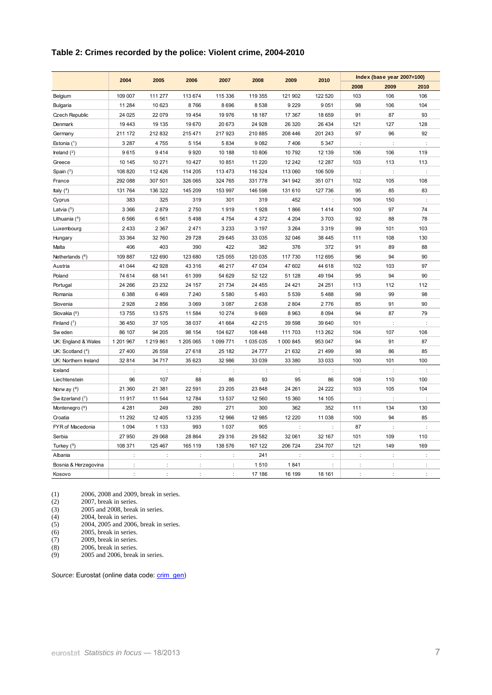#### **Table 2: Crimes recorded by the police: Violent crime, 2004-2010**

|                       | 2004                 | 2005                 | 2006                 | 2007      | 2008                 | 2009                 | 2010    |                | Index (base year 2007=100) |                      |
|-----------------------|----------------------|----------------------|----------------------|-----------|----------------------|----------------------|---------|----------------|----------------------------|----------------------|
|                       |                      |                      |                      |           |                      |                      |         | 2008           | 2009                       | 2010                 |
| Belgium               | 109 007              | 111 277              | 113 674              | 115 336   | 119 355              | 121 902              | 122 520 | 103            | 106                        | 106                  |
| <b>Bulgaria</b>       | 11 284               | 10 623               | 8766                 | 8696      | 8538                 | 9 2 2 9              | 9051    | 98             | 106                        | 104                  |
| <b>Czech Republic</b> | 24 0 25              | 22 0 79              | 19 4 54              | 19 976    | 18 187               | 17 367               | 18 659  | 91             | 87                         | 93                   |
| Denmark               | 19 443               | 19 135               | 19670                | 20 673    | 24 9 28              | 26 320               | 26 434  | 121            | 127                        | 128                  |
| Germany               | 211 172              | 212 832              | 215 471              | 217923    | 210 885              | 208 446              | 201 243 | 97             | 96                         | 92                   |
| Estonia $(1)$         | 3 2 8 7              | 4755                 | 5 1 5 4              | 5834      | 9082                 | 7406                 | 5 3 4 7 | ÷              | ÷                          |                      |
| Ireland $(^2)$        | 9615                 | 9414                 | 9920                 | 10 188    | 10806                | 10 792               | 12 139  | 106            | 106                        | 119                  |
| Greece                | 10 145               | 10 271               | 10 4 27              | 10 851    | 11 2 20              | 12 242               | 12 287  | 103            | 113                        | 113                  |
| Spain $(3)$           | 108 820              | 112 426              | 114 205              | 113 473   | 116 324              | 113 060              | 106 509 | ÷              | ÷                          | $\ddot{\cdot}$       |
| France                | 292 088              | 307 501              | 326 065              | 324 765   | 331778               | 341 942              | 351 071 | 102            | 105                        | 108                  |
| Italy $(4)$           | 131 764              | 136 322              | 145 209              | 153 997   | 146 598              | 131 610              | 127 736 | 95             | 85                         | 83                   |
| Cyprus                | 383                  | 325                  | 319                  | 301       | 319                  | 452                  | ÷       | 106            | 150                        | ÷                    |
| Latvia $(5)$          | 3 3 6 6              | 2879                 | 2750                 | 1919      | 1928                 | 1866                 | 1414    | 100            | 97                         | 74                   |
| Lithuania $(4)$       | 6566                 | 6561                 | 5498                 | 4 7 5 4   | 4 3 7 2              | 4 2 0 4              | 3703    | 92             | 88                         | 78                   |
| Luxembourg            | 2 4 3 3              | 2 3 6 7              | 2471                 | 3 2 3 3   | 3 1 9 7              | 3 2 6 4              | 3 3 1 9 | 99             | 101                        | 103                  |
| Hungary               | 33 364               | 32 760               | 29 7 28              | 29 645    | 33 035               | 32 046               | 38 445  | 111            | 108                        | 130                  |
| Malta                 | 406                  | 403                  | 390                  | 422       | 382                  | 376                  | 372     | 91             | 89                         | 88                   |
| Netherlands $(^6)$    | 109 887              | 122 690              | 123 680              | 125 055   | 120 035              | 117 730              | 112 695 | 96             | 94                         | 90                   |
| Austria               | 41 044               | 42 928               | 43 316               | 46 217    | 47 034               | 47 602               | 44 618  | 102            | 103                        | 97                   |
| Poland                | 74 614               | 68 141               | 61 399               | 54 629    | 52 122               | 51 128               | 49 194  | 95             | 94                         | 90                   |
| Portugal              | 24 266               | 23 2 32              | 24 157               | 21 7 34   | 24 4 55              | 24 4 21              | 24 251  | 113            | 112                        | 112                  |
| Romania               | 6 3 8 8              | 6469                 | 7 2 4 0              | 5 5 8 0   | 5493                 | 5 5 3 9              | 5488    | 98             | 99                         | 98                   |
| Slovenia              | 2928                 | 2856                 | 3 0 6 9              | 3 0 8 7   | 2638                 | 2 8 0 4              | 2776    | 85             | 91                         | 90                   |
| Slovakia (6)          | 13 755               | 13 575               | 11 584               | 10 274    | 9669                 | 8 9 6 3              | 8 0 9 4 | 94             | 87                         | 79                   |
| Finland $(^{7})$      | 36 450               | 37 105               | 38 0 37              | 41 664    | 42 215               | 39 598               | 39 640  | 101            | $\cdot$                    | $\cdot$              |
| Sw eden               | 86 107               | 94 205               | 98 154               | 104 627   | 108 448              | 111 703              | 113 262 | 104            | 107                        | 108                  |
| UK: England & Wales   | 1 201 967            | 1 219 861            | 1 205 065            | 1 099 771 | 1 035 035            | 1 000 845            | 953 047 | 94             | 91                         | 87                   |
| UK: Scotland (4)      | 27 400               | 26 558               | 27 618               | 25 182    | 24 777               | 21 632               | 21 499  | 98             | 86                         | 85                   |
| UK: Northern Ireland  | 32 814               | 34 7 1 7             | 35 623               | 32 986    | 33 039               | 33 380               | 33 033  | 100            | 101                        | 100                  |
| Iceland               | t                    | t                    | t                    | ÷         | $\ddot{\phantom{a}}$ | $\ddot{\phantom{a}}$ | t       | ÷              | ÷                          |                      |
| Liechtenstein         | 96                   | 107                  | 88                   | 86        | 93                   | 95                   | 86      | 108            | 110                        | 100                  |
| Norw ay $(^8)$        | 21 360               | 21 381               | 22 591               | 23 205    | 23 848               | 24 261               | 24 222  | 103            | 105                        | 104                  |
| Sw itzerland (7)      | 11 917               | 11 544               | 12784                | 13 537    | 12 560               | 15 360               | 14 105  | ÷              | ÷                          | ÷                    |
| Montenegro (6)        | 4 2 8 1              | 249                  | 280                  | 271       | 300                  | 362                  | 352     | 111            | 134                        | 130                  |
| Croatia               | 11 292               | 12 4 0 5             | 13 2 35              | 12 966    | 12 985               | 12 2 2 0             | 11 038  | 100            | 94                         | 85                   |
| FYR of Macedonia      | 1 0 9 4              | 1 1 3 3              | 993                  | 1 0 3 7   | 905                  |                      | ÷       | 87             | ÷                          | ÷                    |
| Serbia                | 27 950               | 29 068               | 28 864               | 29 316    | 29 582               | 32 061               | 32 167  | 101            | 109                        | 110                  |
| Turkey $(9)$          | 108 371              | 125 467              | 165 119              | 138 576   | 167 122              | 206 724              | 234 707 | 121            | 149                        | 169                  |
| Albania               | $\ddot{\phantom{a}}$ | $\ddot{\phantom{a}}$ | $\ddot{\phantom{a}}$ | ÷         | 241                  | ÷                    | t       | $\ddot{\cdot}$ | ÷                          | $\ddot{\phantom{a}}$ |
| Bosnia & Herzegovina  | $\cdot$              | ÷                    | ÷                    | ÷         | 1510                 | 1841                 | ÷       | ÷              | $\cdot$                    | ÷                    |
| Kosovo                | t                    | t                    | t                    | ÷         | 17 186               | 16 199               | 18 161  | ÷              | ÷                          | ÷                    |

(1) 2006, 2008 and 2009, break in series. (1) 2006, 2008 and 2009, break in s<br>
(2) 2007, break in series.<br>
(3) 2005 and 2008, break in series.<br>
(4) 2004, break in series.<br>
2004, 2005 and 2006, break in s

(2) 2007, break in series.

(4) 2004, break in series.

(5) 2004, 2005 and 2006, break in series.

(6) 2005, break in series.

(8) 2006, break in series.

(7) 2009, break in series.<br>
(8) 2006, break in series.<br>
(9) 2005 and 2006, break (9) 2005 and 2006, break in series.

Source: Eurostat (online data code: *crim\_gen*)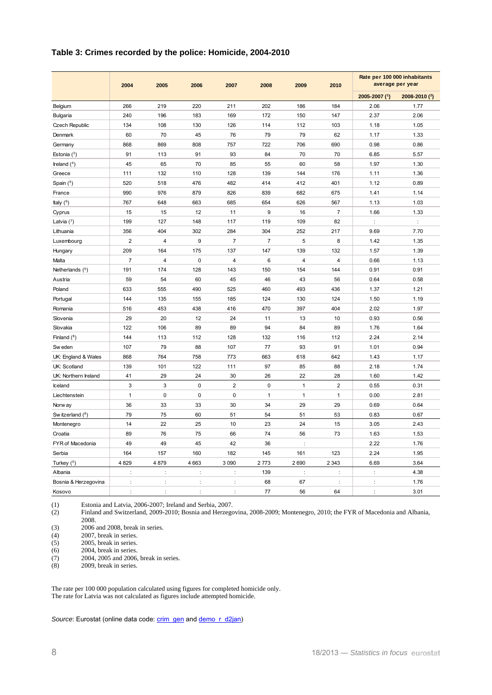#### **Table 3: Crimes recorded by the police: Homicide, 2004-2010**

|                      | 2004                 | 2005                    | 2006        | 2007           | 2008           | 2009                 | 2010           | Rate per 100 000 inhabitants<br>average per year |               |
|----------------------|----------------------|-------------------------|-------------|----------------|----------------|----------------------|----------------|--------------------------------------------------|---------------|
|                      |                      |                         |             |                |                |                      |                | 2005-2007 (1)                                    | 2008-2010 (2) |
| Belgium              | 266                  | 219                     | 220         | 211            | 202            | 186                  | 184            | 2.06                                             | 1.77          |
| <b>Bulgaria</b>      | 240                  | 196                     | 183         | 169            | 172            | 150                  | 147            | 2.37                                             | 2.06          |
| Czech Republic       | 134                  | 108                     | 130         | 126            | 114            | 112                  | 103            | 1.18                                             | 1.05          |
| Denmark              | 60                   | 70                      | 45          | 76             | 79             | 79                   | 62             | 1.17                                             | 1.33          |
| Germany              | 868                  | 869                     | 808         | 757            | 722            | 706                  | 690            | 0.98                                             | 0.86          |
| Estonia $(^3)$       | 91                   | 113                     | 91          | 93             | 84             | 70                   | 70             | 6.85                                             | 5.57          |
| Ireland $(4)$        | 45                   | 65                      | 70          | 85             | 55             | 60                   | 58             | 1.97                                             | 1.30          |
| Greece               | 111                  | 132                     | 110         | 128            | 139            | 144                  | 176            | 1.11                                             | 1.36          |
| Spain $(5)$          | 520                  | 518                     | 476         | 482            | 414            | 412                  | 401            | 1.12                                             | 0.89          |
| France               | 990                  | 976                     | 879         | 826            | 839            | 682                  | 675            | 1.41                                             | 1.14          |
| Italy $(^6)$         | 767                  | 648                     | 663         | 685            | 654            | 626                  | 567            | 1.13                                             | 1.03          |
| Cyprus               | 15                   | 15                      | 12          | 11             | 9              | 16                   | $\overline{7}$ | 1.66                                             | 1.33          |
| Latvia $(^{7})$      | 199                  | 127                     | 148         | 117            | 119            | 109                  | 82             | $\ddot{\cdot}$                                   | $\vdots$      |
| Lithuania            | 356                  | 404                     | 302         | 284            | 304            | 252                  | 217            | 9.69                                             | 7.70          |
| Luxembourg           | $\overline{2}$       | $\overline{\mathbf{4}}$ | 9           | $\overline{7}$ | $\overline{7}$ | 5                    | 8              | 1.42                                             | 1.35          |
| Hungary              | 209                  | 164                     | 175         | 137            | 147            | 139                  | 132            | 1.57                                             | 1.39          |
| Malta                | $\overline{7}$       | 4                       | 0           | $\overline{4}$ | $\,6$          | 4                    | 4              | 0.66                                             | 1.13          |
| Netherlands (5)      | 191                  | 174                     | 128         | 143            | 150            | 154                  | 144            | 0.91                                             | 0.91          |
| Austria              | 59                   | 54                      | 60          | 45             | 46             | 43                   | 56             | 0.64                                             | 0.58          |
| Poland               | 633                  | 555                     | 490         | 525            | 460            | 493                  | 436            | 1.37                                             | 1.21          |
| Portugal             | 144                  | 135                     | 155         | 185            | 124            | 130                  | 124            | 1.50                                             | 1.19          |
| Romania              | 516                  | 453                     | 438         | 416            | 470            | 397                  | 404            | 2.02                                             | 1.97          |
| Slovenia             | 29                   | 20                      | 12          | 24             | 11             | 13                   | 10             | 0.93                                             | 0.56          |
| Slovakia             | 122                  | 106                     | 89          | 89             | 94             | 84                   | 89             | 1.76                                             | 1.64          |
| Finland $(^8)$       | 144                  | 113                     | 112         | 128            | 132            | 116                  | 112            | 2.24                                             | 2.14          |
| Sw eden              | 107                  | 79                      | 88          | 107            | 77             | 93                   | 91             | 1.01                                             | 0.94          |
| UK: England & Wales  | 868                  | 764                     | 758         | 773            | 663            | 618                  | 642            | 1.43                                             | 1.17          |
| UK: Scotland         | 139                  | 101                     | 122         | 111            | 97             | 85                   | 88             | 2.18                                             | 1.74          |
| UK: Northern Ireland | 41                   | 29                      | 24          | 30             | 26             | 22                   | 28             | 1.60                                             | 1.42          |
| Iceland              | 3                    | 3                       | $\mathbf 0$ | $\overline{2}$ | $\mathbf 0$    | 1                    | $\overline{2}$ | 0.55                                             | 0.31          |
| Liechtenstein        | $\mathbf{1}$         | 0                       | 0           | $\mathbf{0}$   | $\mathbf{1}$   | $\mathbf{1}$         | $\mathbf{1}$   | 0.00                                             | 2.81          |
| Norw ay              | 36                   | 33                      | 33          | 30             | 34             | 29                   | 29             | 0.69                                             | 0.64          |
| Sw itzerland (8)     | 79                   | 75                      | 60          | 51             | 54             | 51                   | 53             | 0.83                                             | 0.67          |
| Montenegro           | 14                   | 22                      | 25          | 10             | 23             | 24                   | 15             | 3.05                                             | 2.43          |
| Croatia              | 89                   | 76                      | 75          | 66             | 74             | 56                   | 73             | 1.63                                             | 1.53          |
| FYR of Macedonia     | 49                   | 49                      | 45          | 42             | 36             |                      |                | 2.22                                             | 1.76          |
| Serbia               | 164                  | 157                     | 160         | 182            | 145            | 161                  | 123            | 2.24                                             | 1.95          |
| Turkey $(5)$         | 4 8 2 9              | 4879                    | 4 6 63      | 3 0 9 0        | 2773           | 2690                 | 2 3 4 3        | 6.69                                             | 3.64          |
| Albania              |                      | ÷                       | t           | ÷              | 139            | $\ddot{\phantom{a}}$ | t              | $\ddot{\phantom{a}}$                             | 4.38          |
| Bosnia & Herzegovina | $\ddot{\phantom{a}}$ | $\ddot{\phantom{a}}$    | ÷           | ÷              | 68             | 67                   | $\ddot{\cdot}$ | ÷                                                | 1.76          |
| Kosovo               |                      |                         |             |                | 77             | 56                   | 64             |                                                  | 3.01          |

(1) Estonia and Latvia, 2006-2007; Ireland and Serbia, 2007.

Finland and Switzerland, 2009-2010; Bosnia and Herzegovina, 2008-2009; Montenegro, 2010; the FYR of Macedonia and Albania, 2008.

(3)  $2006$  and 2008, break in series.<br>(4)  $2007$ , break in series.

2007, break in series.

 $(5)$  2005, break in series.

(6) 2004, break in series.<br>(7) 2004, 2005 and 2006.

(7) 2004, 2005 and 2006, break in series.<br>(8) 2009, break in series.

2009, break in series.

The rate per 100 000 population calculated using figures for completed homicide only. The rate for Latvia was not calculated as figures include attempted homicide.

*Source*: Eurostat (online data code: [crim\\_gen](http://ec.europa.eu/eurostat/product?mode=view&code=crim_gen) and [demo\\_r\\_d2jan\)](http://ec.europa.eu/eurostat/product?code=demo_r_d2jan&mode=view&language=en)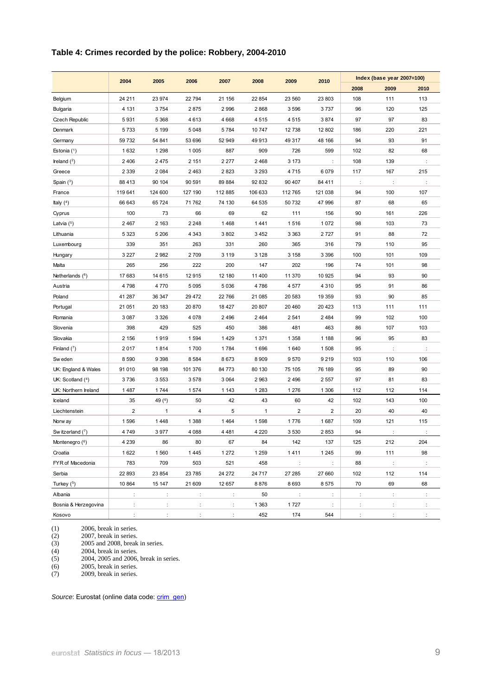#### **Table 4: Crimes recorded by the police: Robbery, 2004-2010**

|                       | 2004           | 2005                 | 2006    | 2007    | 2008         | 2009                   | 2010    |                | Index (base year 2007=100) |      |
|-----------------------|----------------|----------------------|---------|---------|--------------|------------------------|---------|----------------|----------------------------|------|
|                       |                |                      |         |         |              |                        |         | 2008           | 2009                       | 2010 |
| Belgium               | 24 211         | 23 974               | 22794   | 21 156  | 22854        | 23 560                 | 23 803  | 108            | 111                        | 113  |
| <b>Bulgaria</b>       | 4 1 3 1        | 3754                 | 2875    | 2 9 9 6 | 2868         | 3 5 9 6                | 3737    | 96             | 120                        | 125  |
| <b>Czech Republic</b> | 5931           | 5 3 6 8              | 4613    | 4 6 6 8 | 4515         | 4 5 1 5                | 3874    | 97             | 97                         | 83   |
| Denmark               | 5733           | 5 1 9 9              | 5 0 4 8 | 5784    | 10747        | 12738                  | 12 802  | 186            | 220                        | 221  |
| Germany               | 59 732         | 54 841               | 53 696  | 52 949  | 49913        | 49 317                 | 48 166  | 94             | 93                         | 91   |
| Estonia $(^1)$        | 1632           | 1 2 9 8              | 1 0 0 5 | 887     | 909          | 726                    | 599     | 102            | 82                         | 68   |
| Ireland $(2)$         | 2 4 0 6        | 2 4 7 5              | 2 1 5 1 | 2 2 7 7 | 2468         | 3 1 7 3                | t       | 108            | 139                        |      |
| Greece                | 2 3 3 9        | 2 0 8 4              | 2 4 6 3 | 2823    | 3 2 9 3      | 4715                   | 6 0 7 9 | 117            | 167                        | 215  |
| Spain $(3)$           | 88 413         | 90 104               | 90 591  | 89 884  | 92 832       | 90 407                 | 84 411  | $\ddot{\cdot}$ | ÷                          | ÷    |
| France                | 119 641        | 124 600              | 127 190 | 112 885 | 106 633      | 112 765                | 121 038 | 94             | 100                        | 107  |
| Italy $(4)$           | 66 643         | 65 7 24              | 71762   | 74 130  | 64 535       | 50 732                 | 47 996  | 87             | 68                         | 65   |
| Cyprus                | 100            | 73                   | 66      | 69      | 62           | 111                    | 156     | 90             | 161                        | 226  |
| Latvia $(5)$          | 2 4 6 7        | 2 1 6 3              | 2 2 4 8 | 1468    | 1441         | 1516                   | 1 0 7 2 | 98             | 103                        | 73   |
| Lithuania             | 5 3 2 3        | 5 2 0 6              | 4 3 4 3 | 3802    | 3 4 5 2      | 3 3 6 3                | 2 7 2 7 | 91             | 88                         | 72   |
| Luxembourg            | 339            | 351                  | 263     | 331     | 260          | 365                    | 316     | 79             | 110                        | 95   |
| Hungary               | 3 2 2 7        | 2982                 | 2709    | 3 1 1 9 | 3 1 2 8      | 3 1 5 8                | 3 3 9 6 | 100            | 101                        | 109  |
| Malta                 | 265            | 256                  | 222     | 200     | 147          | 202                    | 196     | 74             | 101                        | 98   |
| Netherlands (6)       | 17 683         | 14 615               | 12915   | 12 180  | 11 400       | 11 370                 | 10 925  | 94             | 93                         | 90   |
| Austria               | 4798           | 4770                 | 5 0 9 5 | 5036    | 4786         | 4 5 7 7                | 4 3 1 0 | 95             | 91                         | 86   |
| Poland                | 41 287         | 36 347               | 29 4 72 | 22 766  | 21 085       | 20 583                 | 19 359  | 93             | 90                         | 85   |
| Portugal              | 21 051         | 20 183               | 20 870  | 18 427  | 20 807       | 20 460                 | 20 4 23 | 113            | 111                        | 111  |
| Romania               | 3 0 8 7        | 3 3 2 6              | 4 0 7 8 | 2 4 9 6 | 2464         | 2 5 4 1                | 2 4 8 4 | 99             | 102                        | 100  |
| Slovenia              | 398            | 429                  | 525     | 450     | 386          | 481                    | 463     | 86             | 107                        | 103  |
| Slovakia              | 2 1 5 6        | 1919                 | 1594    | 1429    | 1371         | 1 3 5 8                | 1 1 8 8 | 96             | 95                         | 83   |
| Finland $(7)$         | 2017           | 1814                 | 1700    | 1784    | 1696         | 1640                   | 1 508   | 95             |                            | ÷    |
| Sw eden               | 8 5 9 0        | 9 3 9 8              | 8584    | 8673    | 8 9 0 9      | 9570                   | 9 2 1 9 | 103            | 110                        | 106  |
| UK: England & Wales   | 91 010         | 98 198               | 101 376 | 84 773  | 80 130       | 75 105                 | 76 189  | 95             | 89                         | 90   |
| UK: Scotland $(4)$    | 3736           | 3553                 | 3578    | 3 0 6 4 | 2963         | 2496                   | 2 5 5 7 | 97             | 81                         | 83   |
| UK: Northern Ireland  | 1487           | 1744                 | 1574    | 1 1 4 3 | 1 2 8 3      | 1 2 7 6                | 1 3 0 6 | 112            | 112                        | 114  |
| Iceland               | 35             | 49 $(6)$             | 50      | 42      | 43           | 60                     | 42      | 102            | 143                        | 100  |
| Liechtenstein         | $\overline{2}$ | $\mathbf{1}$         | 4       | 5       | $\mathbf{1}$ | $\overline{2}$         | 2       | 20             | 40                         | 40   |
| Norw ay               | 1596           | 1448                 | 1 3 8 8 | 1464    | 1598         | 1776                   | 1687    | 109            | 121                        | 115  |
| Sw itzerland $(^7)$   | 4749           | 3977                 | 4 0 8 8 | 4481    | 4 2 2 0      | 3530                   | 2853    | 94             |                            |      |
| Montenegro (6)        | 4 2 3 9        | 86                   | 80      | 67      | 84           | 142                    | 137     | 125            | 212                        | 204  |
| Croatia               | 1622           | 1560                 | 1445    | 1 2 7 2 | 1 2 5 9      | 1411                   | 1 2 4 5 | 99             | 111                        | 98   |
| FYR of Macedonia      | 783            | 709                  | 503     | 521     | 458          | $\ddot{\phantom{a}}$ : | ÷       | 88             | $\sim$                     | ÷    |
| Serbia                | 22 893         | 23 854               | 23 785  | 24 27 2 | 24 7 1 7     | 27 285                 | 27 660  | 102            | 112                        | 114  |
| Turkey $(5)$          | 10 864         | 15 147               | 21 609  | 12 657  | 8876         | 8693                   | 8575    | 70             | 69                         | 68   |
| Albania               | ÷              | ÷                    | ÷       | ÷       | 50           | - 11                   | ÷       | $\ddot{\cdot}$ | ÷                          | ÷    |
| Bosnia & Herzegovina  | ÷              | $\ddot{\phantom{a}}$ | ÷       | ÷       | 1 3 6 3      | 1727                   | ÷       | ÷              | $\ddot{\cdot}$             | ÷    |
| Kosovo                | ÷              | ÷                    | ÷       | ÷.      | 452          | 174                    | 544     | ÷              | ÷                          | ÷    |

(1) 2006, break in series.<br>
(2) 2007, break in series.<br>
(3) 2005 and 2008, break (2) 2007, break in series.

(3) 2005 and 2008, break in series.

(4) 2004, break in series.

(5) 2004, 2005 and 2006, break in series.

(6) 2005, break in series.

(7) 2009, break in series.

Source: Eurostat (online data code: *[crim\\_gen\)](http://ec.europa.eu/eurostat/product?mode=view&code=crim_gen)*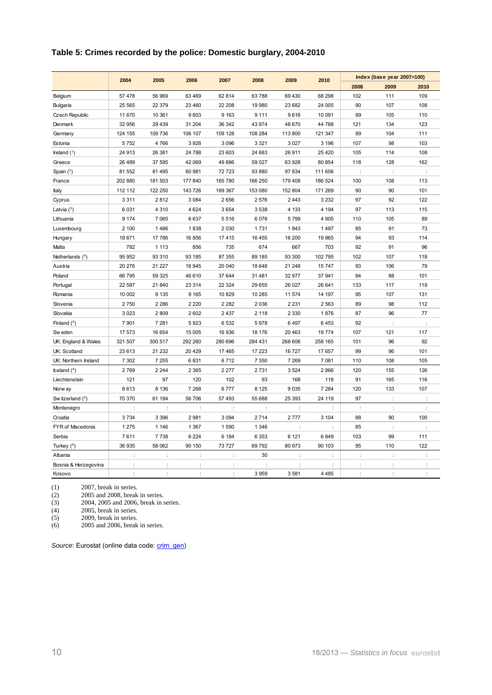#### **Table 5: Crimes recorded by the police: Domestic burglary, 2004-2010**

|                       | 2004                 | 2005    | 2006    | 2007    | 2008    | 2009                 | 2010    |         | Index (base year 2007=100) |         |
|-----------------------|----------------------|---------|---------|---------|---------|----------------------|---------|---------|----------------------------|---------|
|                       |                      |         |         |         |         |                      |         | 2008    | 2009                       | 2010    |
| Belgium               | 57 478               | 56 969  | 63 4 69 | 62 814  | 63788   | 69 430               | 68 298  | 102     | 111                        | 109     |
| <b>Bulgaria</b>       | 25 5 65              | 22 379  | 23 4 60 | 22 208  | 19980   | 23 682               | 24 005  | 90      | 107                        | 108     |
| <b>Czech Republic</b> | 11 670               | 10 361  | 9603    | 9 1 6 3 | 9 1 1 1 | 9616                 | 10 091  | 99      | 105                        | 110     |
| Denmark               | 32 956               | 29 4 39 | 31 204  | 36 342  | 43 974  | 48 670               | 44 788  | 121     | 134                        | 123     |
| Germany               | 124 155              | 109 736 | 106 107 | 109 128 | 108 284 | 113 800              | 121 347 | 99      | 104                        | 111     |
| Estonia               | 5752                 | 4766    | 3928    | 3 0 9 6 | 3 3 2 1 | 3 0 27               | 3 1 9 6 | 107     | 98                         | 103     |
| Ireland $(^1)$        | 24 913               | 26 381  | 24 788  | 23 603  | 24 683  | 26 911               | 25 4 20 | 105     | 114                        | 108     |
| Greece                | 26 489               | 37 595  | 42 069  | 49 886  | 59 027  | 63 928               | 80 854  | 118     | 128                        | 162     |
| Spain $(2)$           | 81 552               | 81 495  | 80 981  | 72 723  | 93 880  | 97 834               | 111 656 |         | d                          |         |
| France                | 202 880              | 181 503 | 177 840 | 165 780 | 166 250 | 179 408              | 186 524 | 100     | 108                        | 113     |
| Italy                 | 112 112              | 122 250 | 143 726 | 169 367 | 153 080 | 152 804              | 171 269 | 90      | 90                         | 101     |
| Cyprus                | 3311                 | 2812    | 3 0 8 4 | 2656    | 2576    | 2 4 4 3              | 3 2 3 2 | 97      | 92                         | 122     |
| Latvia $(3)$          | 6 0 3 1              | 4 3 1 0 | 4 6 24  | 3654    | 3538    | 4 1 3 3              | 4 1 9 4 | 97      | 113                        | 115     |
| Lithuania             | 9 1 7 4              | 7 0 6 5 | 6637    | 5516    | 6076    | 5799                 | 4 9 0 5 | 110     | 105                        | 89      |
| Luxembourg            | 2 100                | 1486    | 1838    | 2 0 3 0 | 1731    | 1843                 | 1 4 8 7 | 85      | 91                         | 73      |
| Hungary               | 18 671               | 17786   | 16856   | 17415   | 16 4 55 | 16 200               | 19865   | 94      | 93                         | 114     |
| Malta                 | 782                  | 1 1 1 3 | 856     | 735     | 674     | 667                  | 703     | 92      | 91                         | 96      |
| Netherlands $(4)$     | 95 952               | 93 310  | 93 185  | 87 355  | 89 185  | 93 300               | 102 795 | 102     | 107                        | 118     |
| Austria               | 20 276               | 21 227  | 18 945  | 20 040  | 18 648  | 21 248               | 15747   | 93      | 106                        | 79      |
| Poland                | 66 795               | 59 325  | 46 610  | 37 644  | 31 481  | 32 977               | 37 941  | 84      | 88                         | 101     |
| Portugal              | 22 587               | 21 840  | 23 3 14 | 22 3 24 | 29 655  | 26 027               | 26 641  | 133     | 117                        | 119     |
| Romania               | 10 002               | 9 1 3 5 | 9 1 6 5 | 10 829  | 10 285  | 11 574               | 14 197  | 95      | 107                        | 131     |
| Slovenia              | 2750                 | 2 2 8 6 | 2 2 2 0 | 2 2 8 2 | 2036    | 2 2 3 1              | 2 5 6 3 | 89      | 98                         | 112     |
| Slovakia              | 3 0 2 3              | 2809    | 2 6 0 2 | 2437    | 2 1 1 8 | 2 3 3 0              | 1876    | 87      | 96                         | 77      |
| Finland $(^5)$        | 7 9 0 1              | 7 2 8 1 | 5923    | 6532    | 5978    | 6497                 | 6 4 5 3 | 92      |                            |         |
| Sw eden               | 17 573               | 16 654  | 15 005  | 16 936  | 18 176  | 20 4 63              | 19774   | 107     | 121                        | 117     |
| UK: England & Wales   | 321 507              | 300 517 | 292 260 | 280 696 | 284 431 | 268 606              | 258 165 | 101     | 96                         | 92      |
| UK: Scotland          | 23 613               | 21 232  | 20 4 29 | 17 4 65 | 17 223  | 16 727               | 17657   | 99      | 96                         | 101     |
| UK: Northern Ireland  | 7 3 0 2              | 7 2 5 5 | 6831    | 6712    | 7 3 5 0 | 7 2 6 9              | 7081    | 110     | 108                        | 105     |
| $l$ celand $(4)$      | 2769                 | 2 2 4 4 | 2 3 6 5 | 2 2 7 7 | 2731    | 3524                 | 2866    | 120     | 155                        | 126     |
| Liechtenstein         | 121                  | 97      | 120     | 102     | 93      | 168                  | 118     | 91      | 165                        | 116     |
| Norw ay               | 8613                 | 8 1 3 6 | 7 2 6 8 | 6777    | 8 1 2 5 | 9 0 3 5              | 7 2 8 4 | 120     | 133                        | 107     |
| Sw itzerland (5)      | 70 370               | 61 194  | 56 706  | 57 493  | 55 688  | 25 393               | 24 119  | 97      | t                          |         |
| Montenegro            |                      | t       |         | t       |         |                      |         | t       | t                          |         |
| Croatia               | 3734                 | 3 3 9 6 | 2981    | 3 0 9 4 | 2714    | 2777                 | 3 104   | 88      | 90                         | 100     |
| FYR of Macedonia      | 1 2 7 5              | 1 1 4 6 | 1 3 6 7 | 1 5 9 0 | 1 3 4 6 | t                    |         | 85      | ÷                          |         |
| Serbia                | 7611                 | 7738    | 6 2 2 4 | 6 184   | 6 3 5 3 | 6 1 2 1              | 6849    | 103     | 99                         | 111     |
| Turkey (6)            | 36 935               | 58 062  | 90 150  | 73 727  | 69792   | 80 973               | 90 103  | 95      | 110                        | 122     |
| Albania               | $\ddot{\phantom{a}}$ | ÷       | ÷       | ÷       | 30      | ÷                    | ÷       | ÷       | ÷                          | ÷       |
| Bosnia & Herzegovina  |                      | ł,      |         |         |         | $\ddot{\phantom{0}}$ |         |         | ł                          |         |
| Kosovo                | ÷                    | ÷       | ÷       |         | 3959    | 3581                 | 4 4 8 5 | $\cdot$ | ċ                          | $\cdot$ |

(1) 2007, break in series.

(2) 2005 and 2008, break in series.

(2) 2005 and 2008, break in series.<br>
(3) 2004, 2005 and 2006, break in series.<br>
(4) 2005, break in series.<br>
(5) 2009, break in series.

2005, break in series. 2009, break in series.

(6) 2005 and 2006, break in series.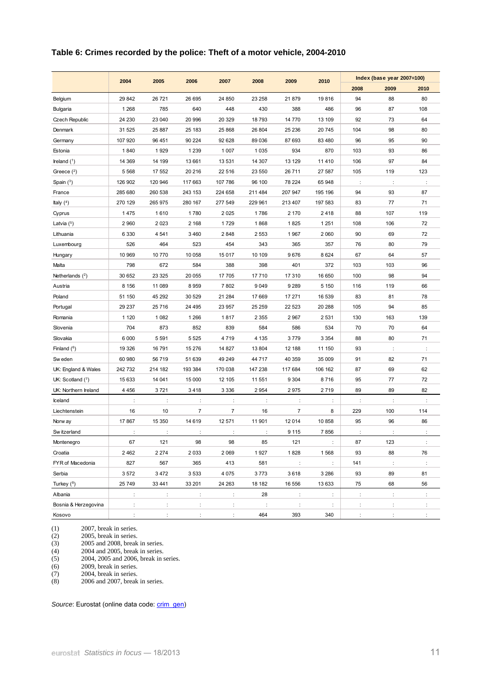#### **Table 6: Crimes recorded by the police: Theft of a motor vehicle, 2004-2010**

|                      | 2004           | 2005                 | 2006           | 2007           | 2008           | 2009                 | 2010    |                      | Index (base year 2007=100) |                      |
|----------------------|----------------|----------------------|----------------|----------------|----------------|----------------------|---------|----------------------|----------------------------|----------------------|
|                      |                |                      |                |                |                |                      |         | 2008                 | 2009                       | 2010                 |
| Belgium              | 29 842         | 26 721               | 26 695         | 24 850         | 23 258         | 21879                | 19816   | 94                   | 88                         | 80                   |
| <b>Bulgaria</b>      | 1 2 6 8        | 785                  | 640            | 448            | 430            | 388                  | 486     | 96                   | 87                         | 108                  |
| Czech Republic       | 24 230         | 23 040               | 20 996         | 20 329         | 18793          | 14 770               | 13 109  | 92                   | 73                         | 64                   |
| Denmark              | 31 525         | 25 887               | 25 183         | 25 868         | 26 804         | 25 236               | 20745   | 104                  | 98                         | 80                   |
| Germany              | 107 920        | 96 451               | 90 224         | 92 628         | 89036          | 87 693               | 83 4 80 | 96                   | 95                         | 90                   |
| Estonia              | 1840           | 1929                 | 1 2 3 9        | 1 0 0 7        | 1 0 3 5        | 934                  | 870     | 103                  | 93                         | 86                   |
| Ireland $(1)$        | 14 3 69        | 14 199               | 13 661         | 13 5 31        | 14 307         | 13 129               | 11 4 10 | 106                  | 97                         | 84                   |
| Greece $(2)$         | 5 5 6 8        | 17 552               | 20 216         | 22 516         | 23 550         | 26 711               | 27 587  | 105                  | 119                        | 123                  |
| Spain $(3)$          | 126 902        | 120 946              | 117 663        | 107 786        | 96 100         | 78 224               | 65 948  | ÷                    | ÷                          | ÷                    |
| France               | 285 680        | 260 538              | 243 153        | 224 658        | 211 484        | 207 947              | 195 196 | 94                   | 93                         | 87                   |
| Italy $(4)$          | 270 129        | 265 975              | 280 167        | 277 549        | 229 961        | 213 407              | 197 583 | 83                   | 77                         | 71                   |
| Cyprus               | 1475           | 1610                 | 1780           | 2 0 2 5        | 1786           | 2 170                | 2418    | 88                   | 107                        | 119                  |
| Latvia $(5)$         | 2 9 6 0        | 2023                 | 2 1 6 8        | 1729           | 1868           | 1825                 | 1 2 5 1 | 108                  | 106                        | 72                   |
| Lithuania            | 6 3 3 0        | 4 5 4 1              | 3 4 6 0        | 2848           | 2553           | 1967                 | 2 0 6 0 | 90                   | 69                         | 72                   |
| Luxembourg           | 526            | 464                  | 523            | 454            | 343            | 365                  | 357     | 76                   | 80                         | 79                   |
| Hungary              | 10 969         | 10770                | 10 058         | 15 017         | 10 109         | 9676                 | 8624    | 67                   | 64                         | 57                   |
| Malta                | 798            | 672                  | 584            | 388            | 398            | 401                  | 372     | 103                  | 103                        | 96                   |
| Netherlands $(2)$    | 30 652         | 23 3 25              | 20 055         | 17 705         | 17710          | 17 310               | 16 650  | 100                  | 98                         | 94                   |
| Austria              | 8 1 5 6        | 11 089               | 8959           | 7802           | 9049           | 9 2 8 9              | 5 1 5 0 | 116                  | 119                        | 66                   |
| Poland               | 51 150         | 45 292               | 30 529         | 21 284         | 17669          | 17 271               | 16 539  | 83                   | 81                         | 78                   |
| Portugal             | 29 237         | 25716                | 24 495         | 23 957         | 25 25 9        | 22 5 23              | 20 288  | 105                  | 94                         | 85                   |
| Romania              | 1 1 2 0        | 1082                 | 1 2 6 6        | 1817           | 2 3 5 5        | 2 9 6 7              | 2 5 3 1 | 130                  | 163                        | 139                  |
| Slovenia             | 704            | 873                  | 852            | 839            | 584            | 586                  | 534     | 70                   | 70                         | 64                   |
| Slovakia             | 6 0 0 0        | 5591                 | 5 5 2 5        | 4 7 1 9        | 4 1 3 5        | 3779                 | 3 3 5 4 | 88                   | 80                         | 71                   |
| Finland $(^6)$       | 19 3 26        | 16791                | 15 276         | 14 827         | 13 804         | 12 188               | 11 150  | 93                   | ÷                          | ÷                    |
| Sw eden              | 60 980         | 56 719               | 51 639         | 49 249         | 44717          | 40 359               | 35 009  | 91                   | 82                         | 71                   |
| UK: England & Wales  | 242 732        | 214 182              | 193 384        | 170 038        | 147 238        | 117 684              | 106 162 | 87                   | 69                         | 62                   |
| UK: Scotland $(^7)$  | 15 633         | 14 041               | 15 000         | 12 105         | 11 551         | 9 3 0 4              | 8716    | 95                   | 77                         | 72                   |
| UK: Northern Ireland | 4 4 5 6        | 3721                 | 3418           | 3 3 3 6        | 2954           | 2975                 | 2719    | 89                   | 89                         | 82                   |
| Iceland              | $\ddot{\cdot}$ | $\ddot{\cdot}$       | ÷              | $\vdots$       | $\ddot{\cdot}$ | $\ddot{\cdot}$       | ÷       | $\ddot{\phantom{a}}$ | $\ddot{\cdot}$             | $\ddot{\phantom{a}}$ |
| Liechtenstein        | 16             | 10                   | $\overline{7}$ | $\overline{7}$ | 16             | $\overline{7}$       | 8       | 229                  | 100                        | 114                  |
| Norw ay              | 17 867         | 15 350               | 14 619         | 12 571         | 11901          | 12 014               | 10858   | 95                   | 96                         | 86                   |
| Sw itzerland         |                |                      |                |                |                | 9 1 1 5              | 7856    |                      |                            |                      |
| Montenegro           | 67             | 121                  | 98             | 98             | 85             | 121                  |         | 87                   | 123                        | ÷                    |
| Croatia              | 2462           | 2 2 7 4              | 2033           | 2 0 6 9        | 1927           | 1828                 | 1568    | 93                   | 88                         | 76                   |
| FYR of Macedonia     | 827            | 567                  | 365            | 413            | 581            | $\ddot{\phantom{a}}$ | ÷       | 141                  | $\cdot$ :                  | ÷                    |
| Serbia               | 3572           | 3 4 7 2              | 3533           | 4 0 7 5        | 3773           | 3618                 | 3 2 8 6 | 93                   | 89                         | 81                   |
| Turkey $(^8)$        | 25 749         | 33 441               | 33 201         | 24 263         | 18 182         | 16 556               | 13 633  | 75                   | 68                         | 56                   |
| Albania              | ÷              | ÷                    | ÷              | ÷              | 28             | ÷                    | ÷       | $\ddot{\cdot}$       | ÷                          | ÷                    |
| Bosnia & Herzegovina | ÷              | $\ddot{\phantom{a}}$ | ÷              | $\ddot{\cdot}$ | $\ddot{\cdot}$ | $\ddot{\cdot}$       | ÷       | ÷                    | $\ddot{\cdot}$             | ÷                    |
| Kosovo               | ÷              | ÷                    | ÷              | ÷              | 464            | 393                  | 340     | $\ddot{\phantom{a}}$ | ÷                          | ÷                    |

(1) 2007, break in series.<br>
(2) 2005, break in series.<br>
(3) 2005 and 2008, break (2) 2005, break in series.

(3) 2005 and 2008, break in series.

(4) 2004 and 2005, break in series.<br>(5) 2004, 2005 and 2006, break in s (5) 2004, 2005 and 2006, break in series.

2004, break in series.

(6)  $2009$ , break in series.<br>
(7)  $2004$ , break in series.<br>
(8)  $2006$  and 2007, break  $2006$  and  $2007$ , break in series.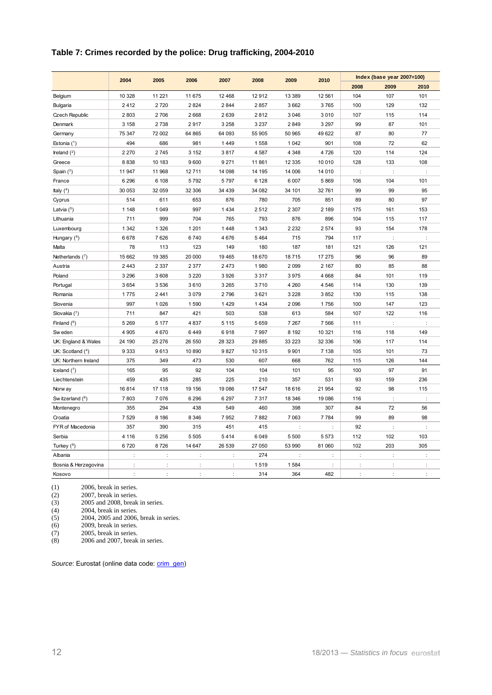## **Table 7: Crimes recorded by the police: Drug trafficking, 2004-2010**

|                          | 2004    | 2005                 | 2006           | 2007    | 2008    | 2009                 | 2010    |                | Index (base year 2007=100) |                |
|--------------------------|---------|----------------------|----------------|---------|---------|----------------------|---------|----------------|----------------------------|----------------|
|                          |         |                      |                |         |         |                      |         | 2008           | 2009                       | 2010           |
| Belgium                  | 10 328  | 11 2 21              | 11 675         | 12 4 68 | 12912   | 13 389               | 12 561  | 104            | 107                        | 101            |
| <b>Bulgaria</b>          | 2412    | 2720                 | 2824           | 2 8 4 4 | 2857    | 3 6 6 2              | 3765    | 100            | 129                        | 132            |
| <b>Czech Republic</b>    | 2 8 0 3 | 2706                 | 2668           | 2 6 3 9 | 2812    | 3 0 46               | 3 0 1 0 | 107            | 115                        | 114            |
| Denmark                  | 3 1 5 8 | 2738                 | 2917           | 3 2 5 8 | 3 2 3 7 | 2849                 | 3 2 9 7 | 99             | 87                         | 101            |
| Germany                  | 75 347  | 72 002               | 64 865         | 64 093  | 55 905  | 50 965               | 49 622  | 87             | 80                         | 77             |
| Estonia $(1)$            | 494     | 686                  | 981            | 1449    | 1558    | 1 0 4 2              | 901     | 108            | 72                         | 62             |
| Ireland $(^2)$           | 2 2 7 0 | 2745                 | 3 1 5 2        | 3817    | 4587    | 4 3 4 8              | 4 7 2 6 | 120            | 114                        | 124            |
| Greece                   | 8838    | 10 183               | 9600           | 9 2 7 1 | 11861   | 12 3 35              | 10 010  | 128            | 133                        | 108            |
| Spain $(^3)$             | 11 947  | 11 968               | 12711          | 14 098  | 14 195  | 14 006               | 14 010  | $\ddot{\cdot}$ | ÷                          | $\ddot{\cdot}$ |
| France                   | 6 2 9 6 | 6 1 0 8              | 5792           | 5797    | 6 1 2 8 | 6 0 0 7              | 5 8 6 9 | 106            | 104                        | 101            |
| Italy $(4)$              | 30 053  | 32 059               | 32 306         | 34 4 39 | 34 082  | 34 101               | 32761   | 99             | 99                         | 95             |
| Cyprus                   | 514     | 611                  | 653            | 876     | 780     | 705                  | 851     | 89             | 80                         | 97             |
| Latvia $(5)$             | 1 1 4 8 | 1 0 4 9              | 997            | 1 4 3 4 | 2512    | 2 3 0 7              | 2 189   | 175            | 161                        | 153            |
| Lithuania                | 711     | 999                  | 704            | 765     | 793     | 876                  | 896     | 104            | 115                        | 117            |
| Luxembourg               | 1 3 4 2 | 1 3 2 6              | 1 2 0 1        | 1448    | 1 3 4 3 | 2 2 3 2              | 2 5 7 4 | 93             | 154                        | 178            |
| Hungary ( <sup>6</sup> ) | 6678    | 7626                 | 6740           | 4676    | 5 4 6 4 | 715                  | 794     | 117            | ÷                          | ÷              |
| Malta                    | 78      | 113                  | 123            | 149     | 180     | 187                  | 181     | 121            | 126                        | 121            |
| Netherlands $(^7)$       | 15 662  | 19 3 85              | 20 000         | 19 4 65 | 18 670  | 18715                | 17 275  | 96             | 96                         | 89             |
| Austria                  | 2 4 4 3 | 2 3 3 7              | 2 3 7 7        | 2473    | 1980    | 2 0 9 9              | 2 167   | 80             | 85                         | 88             |
| Poland                   | 3 2 9 6 | 3608                 | 3 2 2 0        | 3926    | 3 3 1 7 | 3975                 | 4 6 6 8 | 84             | 101                        | 119            |
| Portugal                 | 3654    | 3536                 | 3610           | 3 2 6 5 | 3710    | 4 2 6 0              | 4 5 4 6 | 114            | 130                        | 139            |
| Romania                  | 1775    | 2 4 4 1              | 3 0 7 9        | 2796    | 3621    | 3 2 2 8              | 3852    | 130            | 115                        | 138            |
| Slovenia                 | 997     | 1 0 2 6              | 1590           | 1 4 2 9 | 1 4 3 4 | 2 0 9 6              | 1756    | 100            | 147                        | 123            |
| Slovakia (7)             | 711     | 847                  | 421            | 503     | 538     | 613                  | 584     | 107            | 122                        | 116            |
| Finland $(^6)$           | 5 2 6 9 | 5 1 7 7              | 4837           | 5 1 1 5 | 5659    | 7 2 6 7              | 7 5 6 6 | 111            | $\cdot$                    |                |
| Sw eden                  | 4 9 0 5 | 4670                 | 6449           | 6918    | 7997    | 8 1 9 2              | 10 321  | 116            | 118                        | 149            |
| UK: England & Wales      | 24 190  | 25 276               | 26 550         | 28 3 23 | 29 885  | 33 2 23              | 32 336  | 106            | 117                        | 114            |
| UK: Scotland (4)         | 9 3 3 3 | 9613                 | 10890          | 9827    | 10 315  | 9 9 0 1              | 7 1 38  | 105            | 101                        | 73             |
| UK: Northern Ireland     | 375     | 349                  | 473            | 530     | 607     | 668                  | 762     | 115            | 126                        | 144            |
| Iceland $(^7)$           | 165     | 95                   | 92             | 104     | 104     | 101                  | 95      | 100            | 97                         | 91             |
| Liechtenstein            | 459     | 435                  | 285            | 225     | 210     | 357                  | 531     | 93             | 159                        | 236            |
| Norw ay                  | 16814   | 17 118               | 19 15 6        | 19 086  | 17547   | 18 616               | 21 954  | 92             | 98                         | 115            |
| Sw itzerland (6)         | 7803    | 7076                 | 6 2 9 6        | 6 2 9 7 | 7 3 1 7 | 18 346               | 19 086  | 116            | ÷                          |                |
| Montenegro               | 355     | 294                  | 438            | 549     | 460     | 398                  | 307     | 84             | 72                         | 56             |
| Croatia                  | 7 5 29  | 8 1 8 6              | 8 3 4 6        | 7952    | 7882    | 7 0 63               | 7 7 8 4 | 99             | 89                         | 98             |
| FYR of Macedonia         | 357     | 390                  | 315            | 451     | 415     | $\ddot{\phantom{a}}$ | ÷       | 92             | ÷                          | ÷              |
| Serbia                   | 4 1 1 6 | 5 2 5 6              | 5 5 0 5        | 5414    | 6049    | 5 500                | 5 5 7 3 | 112            | 102                        | 103            |
| Turkey (8)               | 6720    | 8726                 | 14 647         | 26 539  | 27 050  | 53 990               | 81 060  | 102            | 203                        | 305            |
| Albania                  | t       | $\ddot{\cdot}$       | d              |         | 274     |                      |         | t              |                            |                |
| Bosnia & Herzegovina     | ÷       | $\ddot{\phantom{a}}$ | $\ddot{\cdot}$ | ÷       | 1519    | 1584                 | ÷       | $\ddot{\cdot}$ | ÷                          | ÷              |
| Kosovo                   | $\cdot$ | ÷                    | $\ddot{\cdot}$ | ÷       | 314     | 364                  | 482     | $\cdot$        | ÷                          | ÷              |

(1) 2006, break in series.<br>
(2) 2007, break in series.<br>
(3) 2005 and 2008, break 2007, break in series.

(3)  $2005$  and 2008, break in series.<br>
(4)  $2004$ , break in series.<br>
(5)  $2004, 2005$  and 2006, break in s (4) 2004, break in series. (5) 2004, 2005 and 2006, break in series.

(6)  $2009$ , break in series.<br>(7)  $2005$ , break in series.

(7)  $2005$ , break in series.<br>(8)  $2006$  and 2007, break 2006 and 2007, break in series.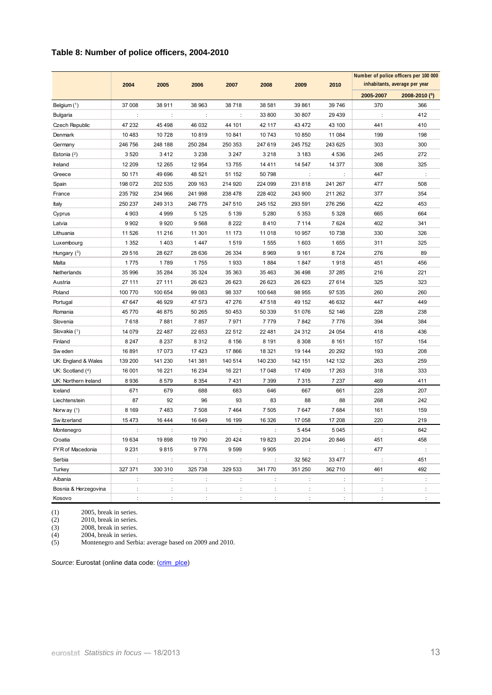## **Table 8: Number of police officers, 2004-2010**

|                      |         |         |                      |         | Number of police officers per 100 000 |         |         |                      |                                |
|----------------------|---------|---------|----------------------|---------|---------------------------------------|---------|---------|----------------------|--------------------------------|
|                      | 2004    | 2005    | 2006                 | 2007    | 2008                                  | 2009    | 2010    |                      | inhabitants, average per year  |
|                      |         |         |                      |         |                                       |         |         | 2005-2007            | $2008 - 2010$ ( <sup>5</sup> ) |
| Belgium $(^1)$       | 37 008  | 38 911  | 38 963               | 38718   | 38 581                                | 39 861  | 39 746  | 370                  | 366                            |
| <b>Bulgaria</b>      | ÷       | ÷       | ÷                    |         | 33 800                                | 30 807  | 29 439  | $\ddot{\cdot}$       | 412                            |
| Czech Republic       | 47 232  | 45 4 98 | 46 032               | 44 101  | 42 117                                | 43 472  | 43 100  | 441                  | 410                            |
| Denmark              | 10 483  | 10728   | 10819                | 10 841  | 10 743                                | 10 850  | 11 084  | 199                  | 198                            |
| Germany              | 246 756 | 248 188 | 250 284              | 250 353 | 247 619                               | 245 752 | 243 625 | 303                  | 300                            |
| Estonia $(2)$        | 3520    | 3412    | 3 2 3 8              | 3 2 4 7 | 3 2 1 8                               | 3 1 8 3 | 4 5 3 6 | 245                  | 272                            |
| Ireland              | 12 209  | 12 265  | 12 954               | 13755   | 14 4 11                               | 14 547  | 14 377  | 308                  | 325                            |
| Greece               | 50 171  | 49 696  | 48 521               | 51 152  | 50 798                                | ÷       | ÷       | 447                  |                                |
| Spain                | 198 072 | 202 535 | 209 163              | 214 920 | 224 099                               | 231818  | 241 267 | 477                  | 508                            |
| France               | 235 792 | 234 966 | 241 998              | 238 478 | 228 402                               | 243 900 | 211 262 | 377                  | 354                            |
| Italy                | 250 237 | 249 313 | 246 775              | 247 510 | 245 152                               | 293 591 | 276 256 | 422                  | 453                            |
| Cyprus               | 4 9 0 3 | 4 9 9 9 | 5 1 2 5              | 5 1 3 9 | 5 2 8 0                               | 5 3 5 3 | 5 3 2 8 | 665                  | 664                            |
| Latvia               | 9 9 0 2 | 9920    | 9568                 | 8 2 2 2 | 8410                                  | 7 1 1 4 | 7624    | 402                  | 341                            |
| Lithuania            | 11 526  | 11 216  | 11 301               | 11 173  | 11 018                                | 10 957  | 10738   | 330                  | 326                            |
| Luxembourg           | 1 3 5 2 | 1403    | 1 4 4 7              | 1519    | 1 5 5 5                               | 1 603   | 1655    | 311                  | 325                            |
| Hungary $(3)$        | 29 516  | 28 627  | 28 636               | 26 334  | 8969                                  | 9 1 6 1 | 8724    | 276                  | 89                             |
| Malta                | 1775    | 1789    | 1755                 | 1933    | 1884                                  | 1847    | 1918    | 451                  | 456                            |
| Netherlands          | 35 996  | 35 284  | 35 324               | 35 363  | 35 463                                | 36 498  | 37 285  | 216                  | 221                            |
| Austria              | 27 111  | 27 111  | 26 623               | 26 623  | 26 623                                | 26 623  | 27 614  | 325                  | 323                            |
| Poland               | 100 770 | 100 654 | 99 083               | 98 337  | 100 648                               | 98 955  | 97 535  | 260                  | 260                            |
| Portugal             | 47 647  | 46 929  | 47 573               | 47 276  | 47 518                                | 49 152  | 46 632  | 447                  | 449                            |
| Romania              | 45 770  | 46875   | 50 265               | 50 453  | 50 339                                | 51 076  | 52 146  | 228                  | 238                            |
| Slovenia             | 7618    | 7881    | 7857                 | 7971    | 7779                                  | 7842    | 7776    | 394                  | 384                            |
| Slovakia $(1)$       | 14 079  | 22 487  | 22 653               | 22 512  | 22 481                                | 24 3 12 | 24 054  | 418                  | 436                            |
| Finland              | 8 2 4 7 | 8 2 3 7 | 8 3 1 2              | 8 1 5 6 | 8 1 9 1                               | 8 3 0 8 | 8 1 6 1 | 157                  | 154                            |
| Sw eden              | 16891   | 17 073  | 17423                | 17866   | 18 321                                | 19 144  | 20 29 2 | 193                  | 208                            |
| UK: England & Wales  | 139 200 | 141 230 | 141 381              | 140 514 | 140 230                               | 142 151 | 142 132 | 263                  | 259                            |
| UK: Scotland $(4)$   | 16 001  | 16 221  | 16 234               | 16 221  | 17 048                                | 17409   | 17 263  | 318                  | 333                            |
| UK: Northern Ireland | 8936    | 8579    | 8 3 5 4              | 7431    | 7 3 9 9                               | 7 3 1 5 | 7 2 3 7 | 469                  | 411                            |
| Iceland              | 671     | 679     | 688                  | 683     | 646                                   | 667     | 661     | 228                  | 207                            |
| Liechtenstein        | 87      | 92      | 96                   | 93      | 83                                    | 88      | 88      | 268                  | 242                            |
| Norw ay $(1)$        | 8 1 6 9 | 7483    | 7 508                | 7464    | 7 5 0 5                               | 7647    | 7684    | 161                  | 159                            |
| Sw itzerland         | 15473   | 16444   | 16 649               | 16 199  | 16 326                                | 17 058  | 17 208  | 220                  | 219                            |
| Montenegro           | ÷       | ÷       | $\ddot{\phantom{a}}$ | ÷       | ÷                                     | 5454    | 5 0 4 5 | $\ddot{\phantom{a}}$ | 842                            |
| Croatia              | 19634   | 19898   | 19 790               | 20 4 24 | 19823                                 | 20 204  | 20 846  | 451                  | 458                            |
| FYR of Macedonia     | 9 2 3 1 | 9815    | 9776                 | 9599    | 9905                                  | ÷       |         | 477                  |                                |
| Serbia               | ÷       | ÷       | ÷                    | ÷       | ÷                                     | 32 562  | 33 477  | ÷                    | 451                            |
| Turkey               | 327 371 | 330 310 | 325 738              | 329 533 | 341770                                | 351 250 | 362 710 | 461                  | 492                            |
| Albania              | ÷       | ÷       | ÷                    | ÷       | ÷                                     | ÷       | ÷       | ÷                    |                                |
| Bosnia & Herzegovina | ÷       |         |                      | ÷       |                                       |         | ÷       |                      |                                |
| Kosovo               |         |         |                      |         |                                       |         | ÷       |                      |                                |

(1) 2005, break in series.

(2) 2010, break in series.

(3) 2008, break in series.

(4) 2004, break in series.

(5) Montenegro and Serbia: average based on 2009 and 2010.

Source: Eurostat (online data code: (crim\_plce)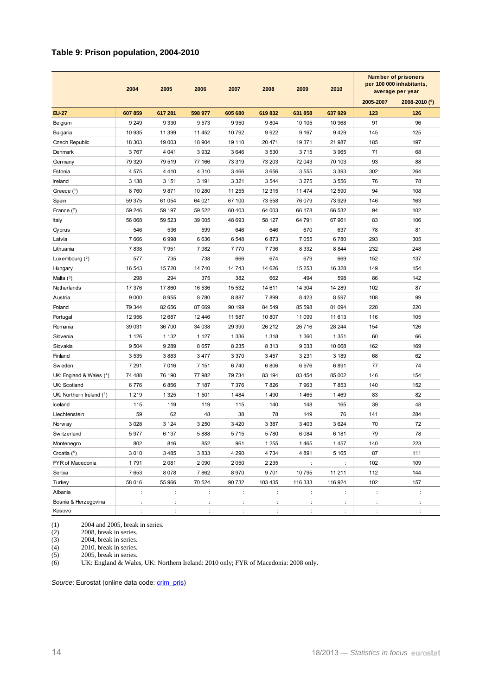#### **Table 9: Prison population, 2004-2010**

|                           | 2004    | 2005           | 2006     | 2007           | 2008           | 2009    | 2010    |           | Number of prisoners<br>per 100 000 inhabitants,<br>average per year |
|---------------------------|---------|----------------|----------|----------------|----------------|---------|---------|-----------|---------------------------------------------------------------------|
|                           |         |                |          |                |                |         |         | 2005-2007 | 2008-2010 (6)                                                       |
| <b>EU-27</b>              | 607 859 | 617 281        | 598 977  | 605 680        | 619832         | 631858  | 637 929 | 123       | 126                                                                 |
| Belgium                   | 9 2 4 9 | 9 3 3 0        | 9573     | 9950           | 9804           | 10 105  | 10 968  | 91        | 96                                                                  |
| <b>Bulgaria</b>           | 10 935  | 11 399         | 11 452   | 10792          | 9922           | 9 1 6 7 | 9429    | 145       | 125                                                                 |
| Czech Republic            | 18 303  | 19 003         | 18 904   | 19 110         | 20 471         | 19 371  | 21 987  | 185       | 197                                                                 |
| Denmark                   | 3767    | 4 0 4 1        | 3 9 3 2  | 3646           | 3 5 3 0        | 3715    | 3 9 6 5 | 71        | 68                                                                  |
| Germany                   | 79 329  | 79 519         | 77 166   | 73 319         | 73 203         | 72 043  | 70 103  | 93        | 88                                                                  |
| Estonia                   | 4575    | 4410           | 4 3 1 0  | 3 4 6 6        | 3 6 5 6        | 3555    | 3 3 9 3 | 302       | 264                                                                 |
| Ireland                   | 3 1 3 8 | 3 1 5 1        | 3 1 9 1  | 3 3 2 1        | 3544           | 3 2 7 5 | 3 5 5 6 | 76        | 78                                                                  |
| Greece $(1)$              | 8760    | 9871           | 10 280   | 11 255         | 12 3 15        | 11 474  | 12 590  | 94        | 108                                                                 |
| Spain                     | 59 375  | 61 054         | 64 021   | 67 100         | 73 558         | 76 079  | 73 929  | 146       | 163                                                                 |
| France $(^2)$             | 59 246  | 59 197         | 59 522   | 60 403         | 64 003         | 66 178  | 66 532  | 94        | 102                                                                 |
| Italy                     | 56 068  | 59 523         | 39 005   | 48 693         | 58 127         | 64 791  | 67 961  | 83        | 106                                                                 |
| Cyprus                    | 546     | 536            | 599      | 646            | 646            | 670     | 637     | 78        | 81                                                                  |
| Latvia                    | 7666    | 6998           | 6 6 3 6  | 6 5 48         | 6873           | 7055    | 6780    | 293       | 305                                                                 |
| Lithuania                 | 7838    | 7951           | 7982     | 7770           | 7736           | 8 3 3 2 | 8844    | 232       | 248                                                                 |
| Luxembourg $(^2)$         | 577     | 735            | 738      | 666            | 674            | 679     | 669     | 152       | 137                                                                 |
| Hungary                   | 16 543  | 15720          | 14 740   | 14 743         | 14 626         | 15 253  | 16 328  | 149       | 154                                                                 |
| Malta $(3)$               | 298     | 294            | 375      | 382            | 662            | 494     | 598     | 86        | 142                                                                 |
| Netherlands               | 17 376  | 17860          | 16 536   | 15 532         | 14 611         | 14 304  | 14 289  | 102       | 87                                                                  |
| Austria                   | 9 0 0 0 | 8955           | 8780     | 8887           | 7899           | 8423    | 8 5 9 7 | 108       | 99                                                                  |
| Poland                    | 79 344  | 82 656         | 87 669   | 90 199         | 84 549         | 85 598  | 81 094  | 228       | 220                                                                 |
| Portugal                  | 12 956  | 12 687         | 12 4 46  | 11 587         | 10 807         | 11 099  | 11 613  | 116       | 105                                                                 |
| Romania                   | 39 031  | 36 700         | 34 038   | 29 390         | 26 212         | 26716   | 28 244  | 154       | 126                                                                 |
| Slovenia                  | 1 1 2 6 | 1 1 3 2        | 1 1 2 7  | 1 3 3 6        | 1 3 1 8        | 1 3 6 0 | 1 3 5 1 | 60        | 66                                                                  |
| Slovakia                  | 9 5 0 4 | 9 2 8 9        | 8657     | 8 2 3 5        | 8 3 1 3        | 9033    | 10 068  | 162       | 169                                                                 |
| Finland                   | 3 5 3 5 | 3883           | 3 4 7 7  | 3 3 7 0        | 3 4 5 7        | 3 2 3 1 | 3 1 8 9 | 68        | 62                                                                  |
| Sw eden                   | 7 2 9 1 | 7016           | 7 1 5 1  | 6740           | 6806           | 6976    | 6891    | 77        | 74                                                                  |
| UK: England & Wales $(4)$ | 74 488  | 76 190         | 77 982   | 79 734         | 83 194         | 83 454  | 85 002  | 146       | 154                                                                 |
| UK: Scotland              | 6776    | 6856           | 7 187    | 7 3 7 6        | 7826           | 7963    | 7853    | 140       | 152                                                                 |
| UK: Northern Ireland (4)  | 1 2 1 9 | 1 3 2 5        | 1 501    | 1484           | 1490           | 1465    | 1469    | 83        | 82                                                                  |
| Iceland                   | 115     | 119            | 119      | 115            | 140            | 148     | 165     | 39        | 48                                                                  |
| Liechtenstein             | 59      | 62             | 48       | 38             | 78             | 149     | 76      | 141       | 284                                                                 |
| Norw ay                   | 3 0 28  | 3 1 2 4        | 3 2 5 0  | 3 4 2 0        | 3 3 8 7        | 3 4 0 3 | 3 6 24  | 70        | 72                                                                  |
| Sw itzerland              | 5977    | 6 137          | 5888     | 5715           | 5780           | 6084    | 6 181   | 79        | 78                                                                  |
| Montenegro                | 802     | 816            | 852      | 961            | 1 2 5 5        | 1465    | 1457    | 140       | 223                                                                 |
| Croatia $(^5)$            | 3 0 1 0 | 3 4 8 5        | 3833     | 4 290          | 4 7 3 4        | 4891    | 5 1 6 5 | 87        | 111                                                                 |
| FYR of Macedonia          | 1791    | 2081           | 2 0 9 0  | 2 0 5 0        | 2 2 3 5        | ÷       | ÷       | 102       | 109                                                                 |
| Serbia                    | 7653    | 8078           | 7862     | 8970           | 9701           | 10795   | 11 211  | 112       | 144                                                                 |
| Turkey                    | 58 016  | 55 966         | 70 524   | 90 732         | 103 435        | 116 333 | 116 924 | 102       | 157                                                                 |
| Albania                   | ÷       | ÷              | ÷        | ÷              | $\ddot{\cdot}$ | ÷       | ÷       | ÷         | ÷                                                                   |
| Bosnia & Herzegovina      |         | $\ddot{\cdot}$ | $\vdots$ | $\ddot{\cdot}$ | $\ddot{\cdot}$ | ÷       | ÷       | ÷         | $\ddot{\cdot}$                                                      |
| Kosovo                    |         |                |          |                |                |         |         |           |                                                                     |

(1)  $2004$  and 2005, break in series.<br>
(2)  $2008$ , break in series.<br>
(3)  $2004$ , break in series.

2008, break in series.

(3)  $2004$ , break in series.<br>
(4)  $2010$ , break in series.<br>
(5)  $2005$ , break in series. (4) 2010, break in series.

(5) 2005, break in series.

(6) UK: England & Wales, UK: Northern Ireland: 2010 only; FYR of Macedonia: 2008 only.

Source: Eurostat (online data code: [crim\\_pris](http://ec.europa.eu/eurostat/product?mode=view&code=crim_pris))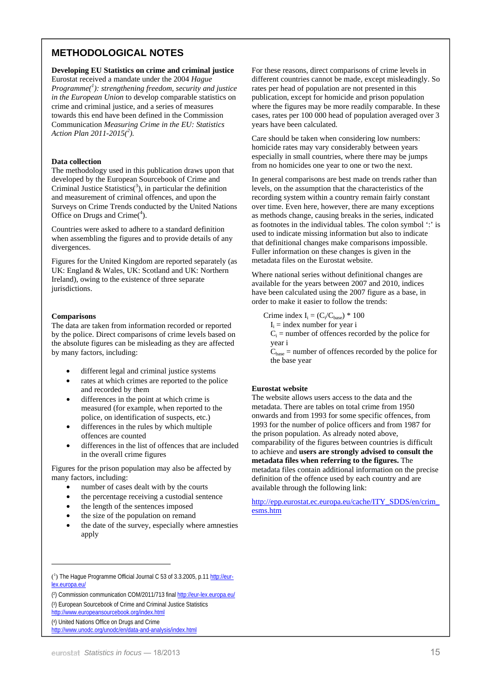## **METHODOLOGICAL NOTES**

**Developing EU Statistics on crime and criminal justice** 

Eurostat received a mandate under the 2004 *Hague Programme(<sup>1</sup> ): strengthening freedom, security and justice in the European Union* to develop comparable statistics on crime and criminal justice, and a series of measures towards this end have been defined in the Commission Communication *Measuring Crime in the EU: Statistics Action Plan 2011-2015(<sup>2</sup> ).*

#### **Data collection**

The methodology used in this publication draws upon that developed by the European Sourcebook of Crime and Criminal Justice Statistics( $3$ ), in particular the definition and measurement of criminal offences, and upon the Surveys on Crime Trends conducted by the United Nations Office on Drugs and Crime $(4)$ .

Countries were asked to adhere to a standard definition when assembling the figures and to provide details of any divergences.

Figures for the United Kingdom are reported separately (as UK: England & Wales, UK: Scotland and UK: Northern Ireland), owing to the existence of three separate jurisdictions.

#### **Comparisons**

The data are taken from information recorded or reported by the police. Direct comparisons of crime levels based on the absolute figures can be misleading as they are affected by many factors, including:

- different legal and criminal justice systems
- rates at which crimes are reported to the police and recorded by them
- differences in the point at which crime is measured (for example, when reported to the police, on identification of suspects, etc.)
- differences in the rules by which multiple offences are counted
- differences in the list of offences that are included in the overall crime figures

Figures for the prison population may also be affected by many factors, including:

- number of cases dealt with by the courts
- the percentage receiving a custodial sentence
- the length of the sentences imposed
- the size of the population on remand
- the date of the survey, especially where amnesties apply

For these reasons, direct comparisons of crime levels in different countries cannot be made, except misleadingly. So rates per head of population are not presented in this publication, except for homicide and prison population where the figures may be more readily comparable. In these cases, rates per 100 000 head of population averaged over 3 years have been calculated.

Care should be taken when considering low numbers: homicide rates may vary considerably between years especially in small countries, where there may be jumps from no homicides one year to one or two the next.

In general comparisons are best made on trends rather than levels, on the assumption that the characteristics of the recording system within a country remain fairly constant over time. Even here, however, there are many exceptions as methods change, causing breaks in the series, indicated as footnotes in the individual tables. The colon symbol ':' is used to indicate missing information but also to indicate that definitional changes make comparisons impossible. Fuller information on these changes is given in the metadata files on the Eurostat website.

Where national series without definitional changes are available for the years between 2007 and 2010, indices have been calculated using the 2007 figure as a base, in order to make it easier to follow the trends:

Crime index  $I_i = (C_i/C_{base}) * 100$ 

- $I_i$  = index number for year i
- $C_i$  = number of offences recorded by the police for year i

 $C_{base}$  = number of offences recorded by the police for the base year

#### **Eurostat website**

The website allows users access to the data and the metadata. There are tables on total crime from 1950 onwards and from 1993 for some specific offences, from 1993 for the number of police officers and from 1987 for the prison population. As already noted above, comparability of the figures between countries is difficult to achieve and **users are strongly advised to consult the metadata files when referring to the figures.** The metadata files contain additional information on the precise definition of the offence used by each country and are available through the following link:

[http://epp.eurostat.ec.europa.eu/cache/ITY\\_SDDS/en/crim\\_](http://epp.eurostat.ec.europa.eu/cache/ITY_SDDS/en/crim_esms.htm) esms.htm

l

<sup>(&</sup>lt;sup>1</sup>) [The Hague Programme Official Journal C 53 of 3.3.2005, p.11 http://eur](http://eur-lex.europa.eu/)lex.europa.eu/

<sup>(2)</sup> Commission communication COM/2011/713 final <http://eur-lex.europa.eu/>

[<sup>\(3\)</sup> European Sourcebook of Crime and Criminal Justice Statistics](http://www.europeansourcebook.org/index.html) 

http://www.europeansourcebook.org/index.html

<sup>(4)</sup> United Nations Office on Drugs and Crime

<http://www.unodc.org/unodc/en/data-and-analysis/index.html>